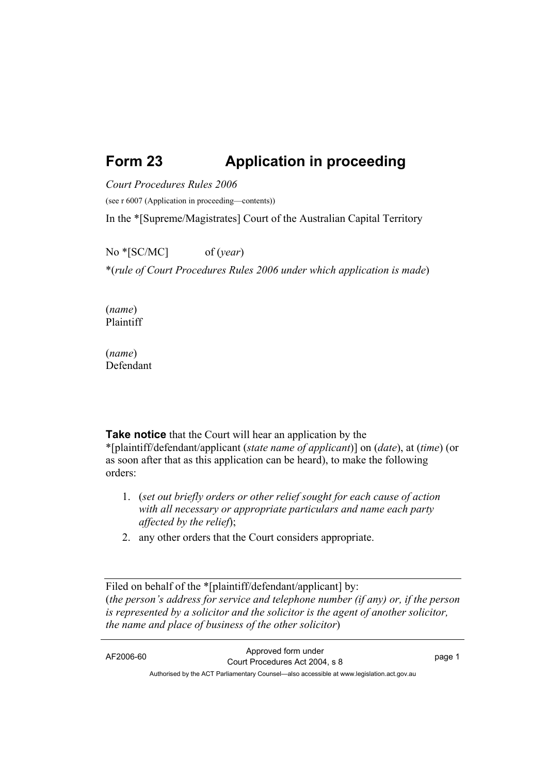## **Form 23 Application in proceeding**

*Court Procedures Rules 2006*

(see r 6007 (Application in proceeding—contents))

In the \*[Supreme/Magistrates] Court of the Australian Capital Territory

No \*[SC/MC] of (*year*) \*(*rule of Court Procedures Rules 2006 under which application is made*)

(*name*) Plaintiff

(*name*) Defendant

**Take notice** that the Court will hear an application by the \*[plaintiff/defendant/applicant (*state name of applicant*)] on (*date*), at (*time*) (or as soon after that as this application can be heard), to make the following orders:

- 1. (*set out briefly orders or other relief sought for each cause of action with all necessary or appropriate particulars and name each party affected by the relief*);
- 2. any other orders that the Court considers appropriate.

Filed on behalf of the \*[plaintiff/defendant/applicant] by: (*the person's address for service and telephone number (if any) or, if the person is represented by a solicitor and the solicitor is the agent of another solicitor, the name and place of business of the other solicitor*)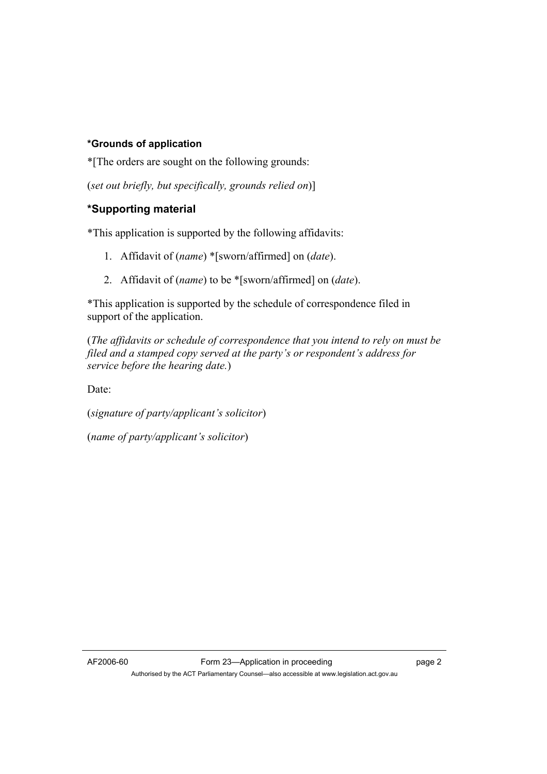## **\*Grounds of application**

\*[The orders are sought on the following grounds:

(*set out briefly, but specifically, grounds relied on*)]

## **\*Supporting material**

\*This application is supported by the following affidavits:

- 1. Affidavit of (*name*) \*[sworn/affirmed] on (*date*).
- 2. Affidavit of (*name*) to be \*[sworn/affirmed] on (*date*).

\*This application is supported by the schedule of correspondence filed in support of the application.

(*The affidavits or schedule of correspondence that you intend to rely on must be filed and a stamped copy served at the party's or respondent's address for service before the hearing date.*)

Date:

(*signature of party/applicant's solicitor*)

(*name of party/applicant's solicitor*)